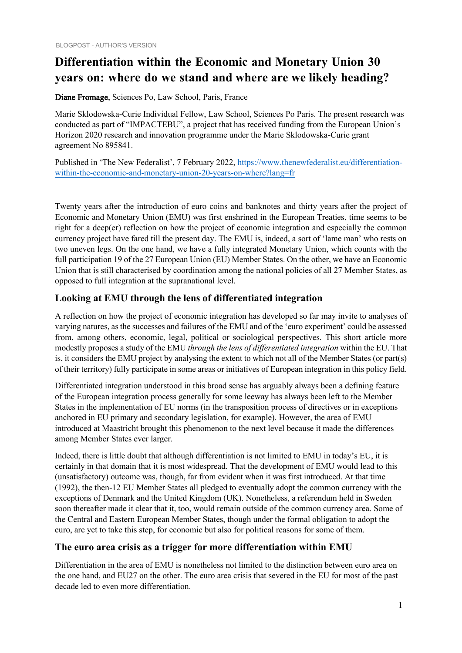# **Differentiation within the Economic and Monetary Union 30 years on: where do we stand and where are we likely heading?**

Diane Fromage, Sciences Po, Law School, Paris, France

Marie Sklodowska-Curie Individual Fellow, Law School, Sciences Po Paris. The present research was conducted as part of "IMPACTEBU", a project that has received funding from the European Union's Horizon 2020 research and innovation programme under the Marie Sklodowska-Curie grant agreement No 895841.

Published in 'The New Federalist', 7 February 2022, https://www.thenewfederalist.eu/differentiation[within-the-economic-and-monetary-union-20-years-on-where?lang=fr](https://www.thenewfederalist.eu/differentiation-within-the-economic-and-monetary-union-20-years-on-where?lang=fr)

Twenty years after the introduction of euro coins and banknotes and thirty years after the project of Economic and Monetary Union (EMU) was first enshrined in the European Treaties, time seems to be right for a deep(er) reflection on how the project of economic integration and especially the common currency project have fared till the present day. The EMU is, indeed, a sort of 'lame man' who rests on two uneven legs. On the one hand, we have a fully integrated Monetary Union, which counts with the full participation 19 of the 27 European Union (EU) Member States. On the other, we have an Economic Union that is still characterised by coordination among the national policies of all 27 Member States, as opposed to full integration at the supranational level.

## **Looking at EMU through the lens of differentiated integration**

A reflection on how the project of economic integration has developed so far may invite to analyses of varying natures, as the successes and failures of the EMU and of the 'euro experiment' could be assessed from, among others, economic, legal, political or sociological perspectives. This short article more modestly proposes a study of the EMU *through the lens of differentiated integration* within the EU. That is, it considers the EMU project by analysing the extent to which not all of the Member States (or part(s) of their territory) fully participate in some areas or initiatives of European integration in this policy field.

Differentiated integration understood in this broad sense has arguably always been a defining feature of the European integration process generally for some leeway has always been left to the Member States in the implementation of EU norms (in the transposition process of directives or in exceptions anchored in EU primary and secondary legislation, for example). However, the area of EMU introduced at Maastricht brought this phenomenon to the next level because it made the differences among Member States ever larger.

Indeed, there is little doubt that although differentiation is not limited to EMU in today's EU, it is certainly in that domain that it is most widespread. That the development of EMU would lead to this (unsatisfactory) outcome was, though, far from evident when it was first introduced. At that time (1992), the then-12 EU Member States all pledged to eventually adopt the common currency with the exceptions of Denmark and the United Kingdom (UK). Nonetheless, a referendum held in Sweden soon thereafter made it clear that it, too, would remain outside of the common currency area. Some of the Central and Eastern European Member States, though under the formal obligation to adopt the euro, are yet to take this step, for economic but also for political reasons for some of them.

## **The euro area crisis as a trigger for more differentiation within EMU**

Differentiation in the area of EMU is nonetheless not limited to the distinction between euro area on the one hand, and EU27 on the other. The euro area crisis that severed in the EU for most of the past decade led to even more differentiation.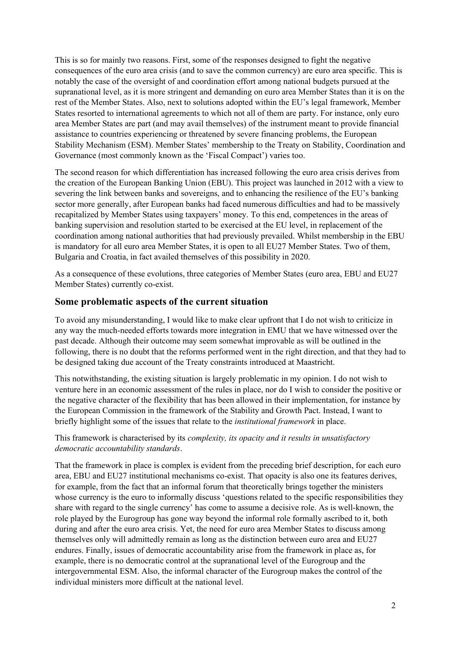This is so for mainly two reasons. First, some of the responses designed to fight the negative consequences of the euro area crisis (and to save the common currency) are euro area specific. This is notably the case of the oversight of and coordination effort among national budgets pursued at the supranational level, as it is more stringent and demanding on euro area Member States than it is on the rest of the Member States. Also, next to solutions adopted within the EU's legal framework, Member States resorted to international agreements to which not all of them are party. For instance, only euro area Member States are part (and may avail themselves) of the instrument meant to provide financial assistance to countries experiencing or threatened by severe financing problems, the European Stability Mechanism (ESM). Member States' membership to the Treaty on Stability, Coordination and Governance (most commonly known as the 'Fiscal Compact') varies too.

The second reason for which differentiation has increased following the euro area crisis derives from the creation of the European Banking Union (EBU). This project was launched in 2012 with a view to severing the link between banks and sovereigns, and to enhancing the resilience of the EU's banking sector more generally, after European banks had faced numerous difficulties and had to be massively recapitalized by Member States using taxpayers' money. To this end, competences in the areas of banking supervision and resolution started to be exercised at the EU level, in replacement of the coordination among national authorities that had previously prevailed. Whilst membership in the EBU is mandatory for all euro area Member States, it is open to all EU27 Member States. Two of them, Bulgaria and Croatia, in fact availed themselves of this possibility in 2020.

As a consequence of these evolutions, three categories of Member States (euro area, EBU and EU27 Member States) currently co-exist.

### **Some problematic aspects of the current situation**

To avoid any misunderstanding, I would like to make clear upfront that I do not wish to criticize in any way the much-needed efforts towards more integration in EMU that we have witnessed over the past decade. Although their outcome may seem somewhat improvable as will be outlined in the following, there is no doubt that the reforms performed went in the right direction, and that they had to be designed taking due account of the Treaty constraints introduced at Maastricht.

This notwithstanding, the existing situation is largely problematic in my opinion. I do not wish to venture here in an economic assessment of the rules in place, nor do I wish to consider the positive or the negative character of the flexibility that has been allowed in their implementation, for instance by the European Commission in the framework of the Stability and Growth Pact. Instead, I want to briefly highlight some of the issues that relate to the *institutional framework* in place.

#### This framework is characterised by its *complexity, its opacity and it results in unsatisfactory democratic accountability standards*.

That the framework in place is complex is evident from the preceding brief description, for each euro area, EBU and EU27 institutional mechanisms co-exist. That opacity is also one its features derives, for example, from the fact that an informal forum that theoretically brings together the ministers whose currency is the euro to informally discuss 'questions related to the specific responsibilities they share with regard to the single currency' has come to assume a decisive role. As is well-known, the role played by the Eurogroup has gone way beyond the informal role formally ascribed to it, both during and after the euro area crisis. Yet, the need for euro area Member States to discuss among themselves only will admittedly remain as long as the distinction between euro area and EU27 endures. Finally, issues of democratic accountability arise from the framework in place as, for example, there is no democratic control at the supranational level of the Eurogroup and the intergovernmental ESM. Also, the informal character of the Eurogroup makes the control of the individual ministers more difficult at the national level.